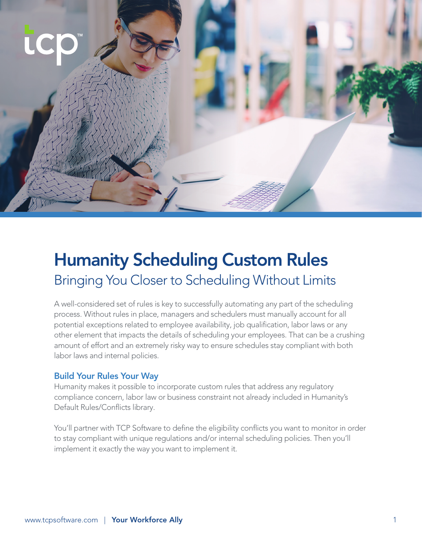

# Humanity Scheduling Custom Rules Bringing You Closer to Scheduling Without Limits

A well-considered set of rules is key to successfully automating any part of the scheduling process. Without rules in place, managers and schedulers must manually account for all potential exceptions related to employee availability, job qualification, labor laws or any other element that impacts the details of scheduling your employees. That can be a crushing amount of effort and an extremely risky way to ensure schedules stay compliant with both labor laws and internal policies.

#### Build Your Rules Your Way

Humanity makes it possible to incorporate custom rules that address any regulatory compliance concern, labor law or business constraint not already included in Humanity's Default Rules/Conflicts library.

You'll partner with TCP Software to define the eligibility conflicts you want to monitor in order to stay compliant with unique regulations and/or internal scheduling policies. Then you'll implement it exactly the way you want to implement it.